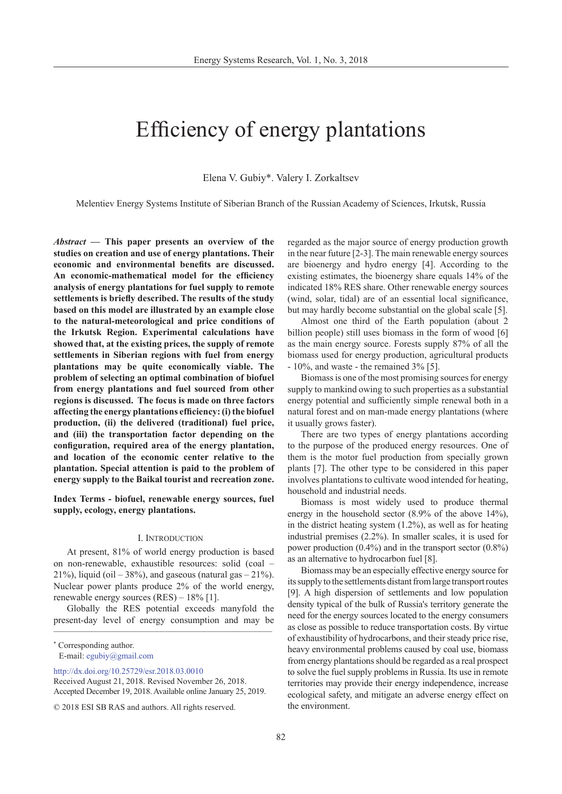# Efficiency of energy plantations

Elena V. Gubiy\*. Valery I. Zorkaltsev

Melentiev Energy Systems Institute of Siberian Branch of the Russian Academy of Sciences, Irkutsk, Russia

*Abstract —* **This paper presents an overview of the studies on creation and use of energy plantations. Their economic and environmental benefits are discussed. An economic-mathematical model for the efficiency analysis of energy plantations for fuel supply to remote settlements is briefly described. The results of the study based on this model are illustrated by an example close to the natural-meteorological and price conditions of the Irkutsk Region. Experimental calculations have showed that, at the existing prices, the supply of remote settlements in Siberian regions with fuel from energy plantations may be quite economically viable. The problem of selecting an optimal combination of biofuel from energy plantations and fuel sourced from other regions is discussed. The focus is made on three factors affecting the energy plantations efficiency: (i) the biofuel production, (ii) the delivered (traditional) fuel price, and (iii) the transportation factor depending on the configuration, required area of the energy plantation, and location of the economic center relative to the plantation. Special attention is paid to the problem of energy supply to the Baikal tourist and recreation zone.**

**Index Terms - biofuel, renewable energy sources, fuel supply, ecology, energy plantations.**

#### I. Introduction

At present, 81% of world energy production is based on non-renewable, exhaustible resources: solid (coal – 21%), liquid (oil  $-38\%$ ), and gaseous (natural gas  $-21\%$ ). Nuclear power plants produce 2% of the world energy, renewable energy sources (RES) – 18% [1].

Globally the RES potential exceeds manyfold the present-day level of energy consumption and may be \_\_\_\_\_\_\_\_\_\_\_\_\_\_\_\_\_\_\_\_\_\_\_\_\_\_\_\_\_\_\_\_\_\_\_\_\_\_\_\_\_\_\_\_\_\_\_\_\_\_\_

\* Corresponding author. E-mail: egubiy@gmail.com

[http://dx.doi.org/10.25729/esr.2018.03.001](http://dx.doi.org/10.25729/esr.2018.03.0010)0

regarded as the major source of energy production growth in the near future [2-3]. The main renewable energy sources are bioenergy and hydro energy [4]. According to the existing estimates, the bioenergy share equals 14% of the indicated 18% RES share. Other renewable energy sources (wind, solar, tidal) are of an essential local significance, but may hardly become substantial on the global scale [5].

Almost one third of the Earth population (about 2 billion people) still uses biomass in the form of wood [6] as the main energy source. Forests supply 87% of all the biomass used for energy production, agricultural products - 10%, and waste - the remained 3% [5].

Biomass is one of the most promising sources for energy supply to mankind owing to such properties as a substantial energy potential and sufficiently simple renewal both in a natural forest and on man-made energy plantations (where it usually grows faster).

There are two types of energy plantations according to the purpose of the produced energy resources. One of them is the motor fuel production from specially grown plants [7]. The other type to be considered in this paper involves plantations to cultivate wood intended for heating, household and industrial needs.

Biomass is most widely used to produce thermal energy in the household sector (8.9% of the above 14%), in the district heating system (1.2%), as well as for heating industrial premises (2.2%). In smaller scales, it is used for power production (0.4%) and in the transport sector (0.8%) as an alternative to hydrocarbon fuel [8].

Biomass may be an especially effective energy source for its supply to the settlements distant from large transport routes [9]. A high dispersion of settlements and low population density typical of the bulk of Russia's territory generate the need for the energy sources located to the energy consumers as close as possible to reduce transportation costs. By virtue of exhaustibility of hydrocarbons, and their steady price rise, heavy environmental problems caused by coal use, biomass from energy plantations should be regarded as a real prospect to solve the fuel supply problems in Russia. Its use in remote territories may provide their energy independence, increase ecological safety, and mitigate an adverse energy effect on the environment.

Received August 21, 2018. Revised November 26, 2018. Accepted December 19, 2018. Available online January 25, 2019.

<sup>© 2018</sup> ESI SB RAS and authors. All rights reserved.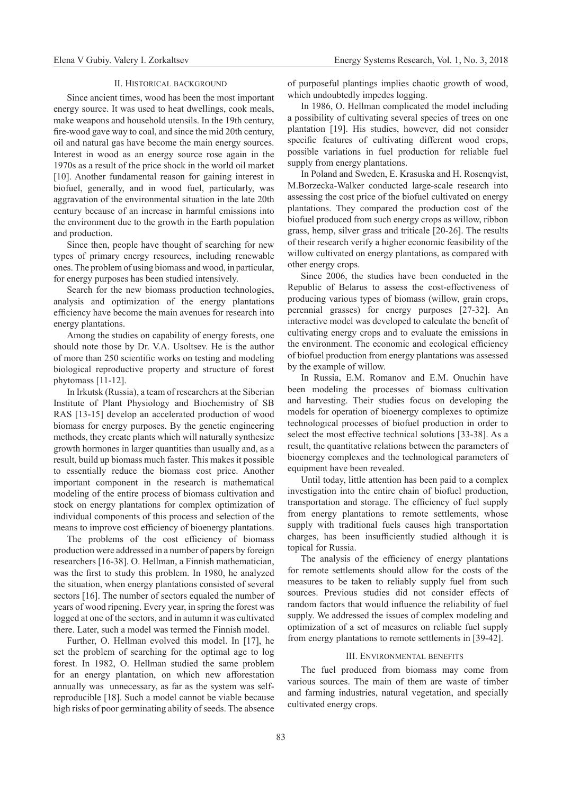#### II. Historical background

Since ancient times, wood has been the most important energy source. It was used to heat dwellings, cook meals, make weapons and household utensils. In the 19th century, fire-wood gave way to coal, and since the mid 20th century, oil and natural gas have become the main energy sources. Interest in wood as an energy source rose again in the 1970s as a result of the price shock in the world oil market [10]. Another fundamental reason for gaining interest in biofuel, generally, and in wood fuel, particularly, was aggravation of the environmental situation in the late 20th century because of an increase in harmful emissions into the environment due to the growth in the Earth population and production.

Since then, people have thought of searching for new types of primary energy resources, including renewable ones. The problem of using biomass and wood, in particular, for energy purposes has been studied intensively.

Search for the new biomass production technologies, analysis and optimization of the energy plantations efficiency have become the main avenues for research into energy plantations.

Among the studies on capability of energy forests, one should note those by Dr. V.A. Usoltsev. He is the author of more than 250 scientific works on testing and modeling biological reproductive property and structure of forest phytomass [11-12].

In Irkutsk (Russia), a team of researchers at the Siberian Institute of Plant Physiology and Biochemistry of SB RAS [13-15] develop an accelerated production of wood biomass for energy purposes. By the genetic engineering methods, they create plants which will naturally synthesize growth hormones in larger quantities than usually and, as a result, build up biomass much faster. This makes it possible to essentially reduce the biomass cost price. Another important component in the research is mathematical modeling of the entire process of biomass cultivation and stock on energy plantations for complex optimization of individual components of this process and selection of the means to improve cost efficiency of bioenergy plantations.

The problems of the cost efficiency of biomass production were addressed in a number of papers by foreign researchers [16-38]. O. Hellman, a Finnish mathematician, was the first to study this problem. In 1980, he analyzed the situation, when energy plantations consisted of several sectors [16]. The number of sectors equaled the number of years of wood ripening. Every year, in spring the forest was logged at one of the sectors, and in autumn it was cultivated there. Later, such a model was termed the Finnish model.

Further, O. Hellman evolved this model. In [17], he set the problem of searching for the optimal age to log forest. In 1982, O. Hellman studied the same problem for an energy plantation, on which new afforestation annually was unnecessary, as far as the system was selfreproducible [18]. Such a model cannot be viable because high risks of poor germinating ability of seeds. The absence of purposeful plantings implies chaotic growth of wood, which undoubtedly impedes logging.

In 1986, O. Hellman complicated the model including a possibility of cultivating several species of trees on one plantation [19]. His studies, however, did not consider specific features of cultivating different wood crops, possible variations in fuel production for reliable fuel supply from energy plantations.

In Poland and Sweden, E. Krasuska and H. Rosenqvist, M.Borzecka-Walker conducted large-scale research into assessing the cost price of the biofuel cultivated on energy plantations. They compared the production cost of the biofuel produced from such energy crops as willow, ribbon grass, hemp, silver grass and triticale [20-26]. The results of their research verify a higher economic feasibility of the willow cultivated on energy plantations, as compared with other energy crops.

Since 2006, the studies have been conducted in the Republic of Belarus to assess the cost-effectiveness of producing various types of biomass (willow, grain crops, perennial grasses) for energy purposes [27-32]. An interactive model was developed to calculate the benefit of cultivating energy crops and to evaluate the emissions in the environment. The economic and ecological efficiency of biofuel production from energy plantations was assessed by the example of willow.

In Russia, E.M. Romanov and E.M. Onuchin have been modeling the processes of biomass cultivation and harvesting. Their studies focus on developing the models for operation of bioenergy complexes to optimize technological processes of biofuel production in order to select the most effective technical solutions [33-38]. As a result, the quantitative relations between the parameters of bioenergy complexes and the technological parameters of equipment have been revealed.

Until today, little attention has been paid to a complex investigation into the entire chain of biofuel production, transportation and storage. The efficiency of fuel supply from energy plantations to remote settlements, whose supply with traditional fuels causes high transportation charges, has been insufficiently studied although it is topical for Russia.

The analysis of the efficiency of energy plantations for remote settlements should allow for the costs of the measures to be taken to reliably supply fuel from such sources. Previous studies did not consider effects of random factors that would influence the reliability of fuel supply. We addressed the issues of complex modeling and optimization of a set of measures on reliable fuel supply from energy plantations to remote settlements in [39-42].

#### III. Environmental benefits

The fuel produced from biomass may come from various sources. The main of them are waste of timber and farming industries, natural vegetation, and specially cultivated energy crops.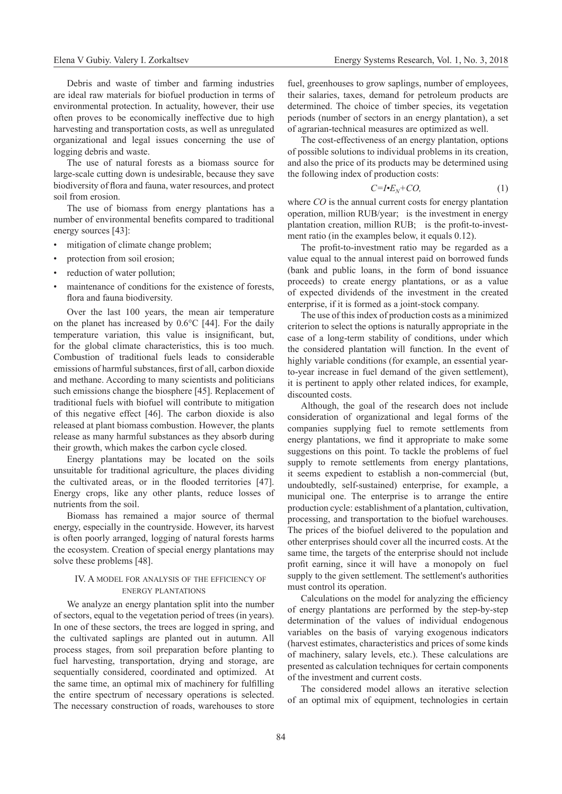Debris and waste of timber and farming industries are ideal raw materials for biofuel production in terms of environmental protection. In actuality, however, their use often proves to be economically ineffective due to high harvesting and transportation costs, as well as unregulated organizational and legal issues concerning the use of logging debris and waste.

The use of natural forests as a biomass source for large-scale cutting down is undesirable, because they save biodiversity of flora and fauna, water resources, and protect soil from erosion.

The use of biomass from energy plantations has a number of environmental benefits compared to traditional energy sources [43]:

- mitigation of climate change problem;
- protection from soil erosion;
- reduction of water pollution;
- maintenance of conditions for the existence of forests, flora and fauna biodiversity.

Over the last 100 years, the mean air temperature on the planet has increased by 0.6°С [44]. For the daily temperature variation, this value is insignificant, but, for the global climate characteristics, this is too much. Combustion of traditional fuels leads to considerable emissions of harmful substances, first of all, carbon dioxide and methane. According to many scientists and politicians such emissions change the biosphere [45]. Replacement of traditional fuels with biofuel will contribute to mitigation of this negative effect [46]. The carbon dioxide is also released at plant biomass combustion. However, the plants release as many harmful substances as they absorb during their growth, which makes the carbon cycle closed.

Energy plantations may be located on the soils unsuitable for traditional agriculture, the places dividing the cultivated areas, or in the flooded territories [47]. Energy crops, like any other plants, reduce losses of nutrients from the soil.

Biomass has remained a major source of thermal energy, especially in the countryside. However, its harvest is often poorly arranged, logging of natural forests harms the ecosystem. Creation of special energy plantations may solve these problems [48].

### IV. A model for analysis of the efficiency of energy plantations

We analyze an energy plantation split into the number of sectors, equal to the vegetation period of trees (in years). In one of these sectors, the trees are logged in spring, and the cultivated saplings are planted out in autumn. All process stages, from soil preparation before planting to fuel harvesting, transportation, drying and storage, are sequentially considered, coordinated and optimized. At the same time, an optimal mix of machinery for fulfilling the entire spectrum of necessary operations is selected. The necessary construction of roads, warehouses to store

fuel, greenhouses to grow saplings, number of employees, their salaries, taxes, demand for petroleum products are determined. The choice of timber species, its vegetation periods (number of sectors in an energy plantation), a set of agrarian-technical measures are optimized as well.

The cost-effectiveness of an energy plantation, options of possible solutions to individual problems in its creation, and also the price of its products may be determined using the following index of production costs:

$$
C = I \cdot E_N + CO,
$$
 (1)

where *CO* is the annual current costs for energy plantation operation, million RUB/year; is the investment in energy plantation creation, million RUB; is the profit-to-investment ratio (in the examples below, it equals 0.12).

The profit-to-investment ratio may be regarded as a value equal to the annual interest paid on borrowed funds (bank and public loans, in the form of bond issuance proceeds) to create energy plantations, or as a value of expected dividends of the investment in the created enterprise, if it is formed as a joint-stock company.

The use of this index of production costs as a minimized criterion to select the options is naturally appropriate in the case of a long-term stability of conditions, under which the considered plantation will function. In the event of highly variable conditions (for example, an essential yearto-year increase in fuel demand of the given settlement), it is pertinent to apply other related indices, for example, discounted costs.

Although, the goal of the research does not include consideration of organizational and legal forms of the companies supplying fuel to remote settlements from energy plantations, we find it appropriate to make some suggestions on this point. To tackle the problems of fuel supply to remote settlements from energy plantations, it seems expedient to establish a non-commercial (but, undoubtedly, self-sustained) enterprise, for example, a municipal one. The enterprise is to arrange the entire production cycle: establishment of a plantation, cultivation, processing, and transportation to the biofuel warehouses. The prices of the biofuel delivered to the population and other enterprises should cover all the incurred costs. At the same time, the targets of the enterprise should not include profit earning, since it will have a monopoly on fuel supply to the given settlement. The settlement's authorities must control its operation.

Calculations on the model for analyzing the efficiency of energy plantations are performed by the step-by-step determination of the values of individual endogenous variables on the basis of varying exogenous indicators (harvest estimates, characteristics and prices of some kinds of machinery, salary levels, etc.). These calculations are presented as calculation techniques for certain components of the investment and current costs.

The considered model allows an iterative selection of an optimal mix of equipment, technologies in certain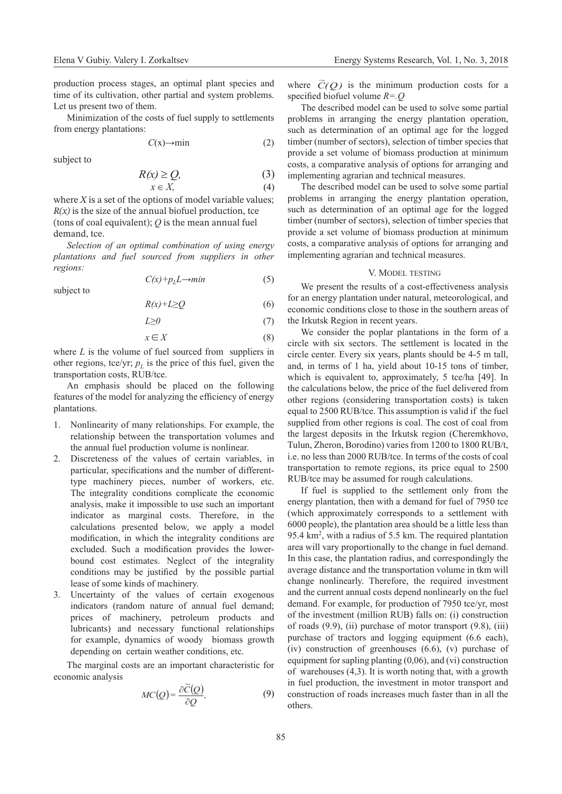production process stages, an optimal plant species and time of its cultivation, other partial and system problems. Let us present two of them.

Minimization of the costs of fuel supply to settlements from energy plantations:

$$
C(x) \rightarrow min
$$
 (2)

subject to

subject to

$$
R(x) \ge Q,\tag{3}
$$

$$
x \in X,\tag{4}
$$

where *X* is a set of the options of model variable values;  $R(x)$  is the size of the annual biofuel production, tce (tons of coal equivalent); *Q* is the mean annual fuel demand, tce.

*Selection of an optimal combination of using energy plantations and fuel sourced from suppliers in other regions:*

$$
C(x)+p_L L \to min \tag{5}
$$

$$
R(x) + L \geq Q \tag{6}
$$

$$
L \ge 0 \tag{7}
$$

$$
x \in X \tag{8}
$$

where *L* is the volume of fuel sourced from suppliers in other regions, tce/yr;  $p<sub>L</sub>$  is the price of this fuel, given the transportation costs, RUB/tce.

An emphasis should be placed on the following features of the model for analyzing the efficiency of energy plantations.

- 1. Nonlinearity of many relationships. For example, the relationship between the transportation volumes and the annual fuel production volume is nonlinear.
- 2. Discreteness of the values of certain variables, in particular, specifications and the number of differenttype machinery pieces, number of workers, etc. The integrality conditions complicate the economic analysis, make it impossible to use such an important indicator as marginal costs. Therefore, in the calculations presented below, we apply a model modification, in which the integrality conditions are excluded. Such a modification provides the lowerbound cost estimates. Neglect of the integrality conditions may be justified by the possible partial lease of some kinds of machinery.
- 3. Uncertainty of the values of certain exogenous indicators (random nature of annual fuel demand; prices of machinery, petroleum products and lubricants) and necessary functional relationships for example, dynamics of woody biomass growth depending on certain weather conditions, etc.

The marginal costs are an important characteristic for economic analysis

$$
MC(Q) = \frac{\partial \widetilde{C}(Q)}{\partial Q},\tag{9}
$$

where  $\tilde{C}(Q)$  is the minimum production costs for a specified biofuel volume *R=.Q*

The described model can be used to solve some partial problems in arranging the energy plantation operation, such as determination of an optimal age for the logged timber (number of sectors), selection of timber species that provide a set volume of biomass production at minimum costs, a comparative analysis of options for arranging and implementing agrarian and technical measures.

The described model can be used to solve some partial problems in arranging the energy plantation operation, such as determination of an optimal age for the logged timber (number of sectors), selection of timber species that provide a set volume of biomass production at minimum costs, a comparative analysis of options for arranging and implementing agrarian and technical measures.

# V. Model testing

We present the results of a cost-effectiveness analysis for an energy plantation under natural, meteorological, and economic conditions close to those in the southern areas of the Irkutsk Region in recent years.

We consider the poplar plantations in the form of a circle with six sectors. The settlement is located in the circle center. Every six years, plants should be 4-5 m tall, and, in terms of 1 ha, yield about 10-15 tons of timber, which is equivalent to, approximately, 5 tce/ha [49]. In the calculations below, the price of the fuel delivered from other regions (considering transportation costs) is taken equal to 2500 RUB/tce. This assumption is valid if the fuel supplied from other regions is coal. The cost of coal from the largest deposits in the Irkutsk region (Cheremkhovo, Tulun, Zheron, Borodino) varies from 1200 to 1800 RUB/t, i.e. no less than 2000 RUB/tce. In terms of the costs of coal transportation to remote regions, its price equal to 2500 RUB/tce may be assumed for rough calculations.

If fuel is supplied to the settlement only from the energy plantation, then with a demand for fuel of 7950 tce (which approximately corresponds to a settlement with 6000 people), the plantation area should be a little less than 95.4 km<sup>2</sup> , with a radius of 5.5 km. The required plantation area will vary proportionally to the change in fuel demand. In this case, the plantation radius, and correspondingly the average distance and the transportation volume in tkm will change nonlinearly. Therefore, the required investment and the current annual costs depend nonlinearly on the fuel demand. For example, for production of 7950 tce/yr, most of the investment (million RUB) falls on: (i) construction of roads (9.9), (ii) purchase of motor transport (9.8), (iii) purchase of tractors and logging equipment (6.6 each), (iv) construction of greenhouses (6.6), (v) purchase of equipment for sapling planting (0,06), and (vi) construction of warehouses (4,3). It is worth noting that, with a growth in fuel production, the investment in motor transport and construction of roads increases much faster than in all the others.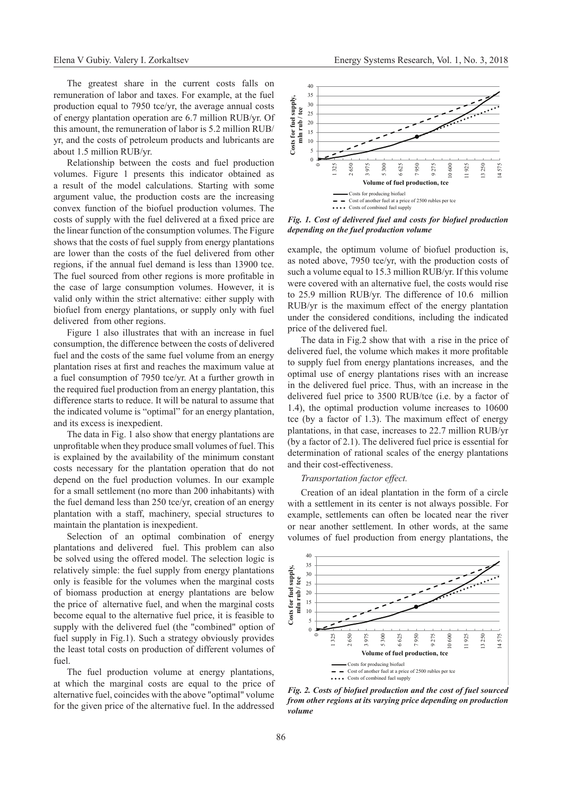The greatest share in the current costs falls on remuneration of labor and taxes. For example, at the fuel production equal to 7950 tce/yr, the average annual costs of energy plantation operation are 6.7 million RUB/yr. Of this amount, the remuneration of labor is 5.2 million RUB/ yr, and the costs of petroleum products and lubricants are about 1.5 million RUB/yr.

Relationship between the costs and fuel production volumes. Figure 1 presents this indicator obtained as a result of the model calculations. Starting with some argument value, the production costs are the increasing convex function of the biofuel production volumes. The costs of supply with the fuel delivered at a fixed price are the linear function of the consumption volumes. The Figure shows that the costs of fuel supply from energy plantations are lower than the costs of the fuel delivered from other regions, if the annual fuel demand is less than 13900 tce. The fuel sourced from other regions is more profitable in the case of large consumption volumes. However, it is valid only within the strict alternative: either supply with biofuel from energy plantations, or supply only with fuel delivered from other regions.

Figure 1 also illustrates that with an increase in fuel consumption, the difference between the costs of delivered fuel and the costs of the same fuel volume from an energy plantation rises at first and reaches the maximum value at a fuel consumption of 7950 tce/yr. At a further growth in the required fuel production from an energy plantation, this difference starts to reduce. It will be natural to assume that the indicated volume is "optimal" for an energy plantation, and its excess is inexpedient.

The data in Fig. 1 also show that energy plantations are unprofitable when they produce small volumes of fuel. This is explained by the availability of the minimum constant costs necessary for the plantation operation that do not depend on the fuel production volumes. In our example for a small settlement (no more than 200 inhabitants) with the fuel demand less than 250 tce/yr, creation of an energy plantation with a staff, machinery, special structures to maintain the plantation is inexpedient.

Selection of an optimal combination of energy plantations and delivered fuel. This problem can also be solved using the offered model. The selection logic is relatively simple: the fuel supply from energy plantations only is feasible for the volumes when the marginal costs of biomass production at energy plantations are below the price of alternative fuel, and when the marginal costs become equal to the alternative fuel price, it is feasible to supply with the delivered fuel (the "combined" option of fuel supply in Fig.1). Such a strategy obviously provides the least total costs on production of different volumes of fuel.

The fuel production volume at energy plantations, at which the marginal costs are equal to the price of alternative fuel, coincides with the above "optimal" volume for the given price of the alternative fuel. In the addressed



*Fig. 1. Cost of delivered fuel and costs for biofuel production depending on the fuel production volume*

example, the optimum volume of biofuel production is, as noted above, 7950 tce/yr, with the production costs of such a volume equal to 15.3 million RUB/yr. If this volume were covered with an alternative fuel, the costs would rise to 25.9 million RUB/yr. The difference of 10.6 million RUB/yr is the maximum effect of the energy plantation under the considered conditions, including the indicated price of the delivered fuel.

The data in Fig.2 show that with a rise in the price of delivered fuel, the volume which makes it more profitable to supply fuel from energy plantations increases, and the optimal use of energy plantations rises with an increase in the delivered fuel price. Thus, with an increase in the delivered fuel price to 3500 RUB/tce (i.e. by a factor of 1.4), the optimal production volume increases to 10600 tce (by a factor of 1.3). The maximum effect of energy plantations, in that case, increases to 22.7 million RUB/yr (by a factor of 2.1). The delivered fuel price is essential for determination of rational scales of the energy plantations and their cost-effectiveness.

## *Transportation factor effect.*

Creation of an ideal plantation in the form of a circle with a settlement in its center is not always possible. For example, settlements can often be located near the river or near another settlement. In other words, at the same volumes of fuel production from energy plantations, the



*Fig. 2. Costs of biofuel production and the cost of fuel sourced from other regions at its varying price depending on production volume*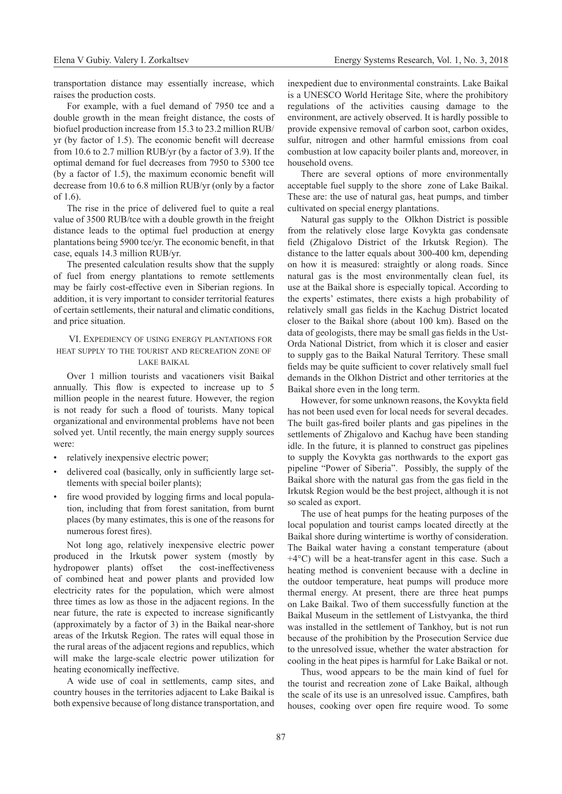transportation distance may essentially increase, which raises the production costs.

For example, with a fuel demand of 7950 tce and a double growth in the mean freight distance, the costs of biofuel production increase from 15.3 to 23.2 million RUB/ yr (by factor of 1.5). The economic benefit will decrease from 10.6 to 2.7 million RUB/yr (by a factor of 3.9). If the optimal demand for fuel decreases from 7950 to 5300 tce (by a factor of 1.5), the maximum economic benefit will decrease from 10.6 to 6.8 million RUB/yr (only by a factor of 1.6).

The rise in the price of delivered fuel to quite a real value of 3500 RUB/tce with a double growth in the freight distance leads to the optimal fuel production at energy plantations being 5900 tce/yr. The economic benefit, in that case, equals 14.3 million RUB/yr.

The presented calculation results show that the supply of fuel from energy plantations to remote settlements may be fairly cost-effective even in Siberian regions. In addition, it is very important to consider territorial features of certain settlements, their natural and climatic conditions, and price situation.

# VI. Expediency of using energy plantations for heat supply to the tourist and recreation zone of lake baikal

Over 1 million tourists and vacationers visit Baikal annually. This flow is expected to increase up to 5 million people in the nearest future. However, the region is not ready for such a flood of tourists. Many topical organizational and environmental problems have not been solved yet. Until recently, the main energy supply sources were:

- relatively inexpensive electric power;
- delivered coal (basically, only in sufficiently large settlements with special boiler plants);
- fire wood provided by logging firms and local population, including that from forest sanitation, from burnt places (by many estimates, this is one of the reasons for numerous forest fires).

Not long ago, relatively inexpensive electric power produced in the Irkutsk power system (mostly by hydropower plants) offset the cost-ineffectiveness of combined heat and power plants and provided low electricity rates for the population, which were almost three times as low as those in the adjacent regions. In the near future, the rate is expected to increase significantly (approximately by a factor of 3) in the Baikal near-shore areas of the Irkutsk Region. The rates will equal those in the rural areas of the adjacent regions and republics, which will make the large-scale electric power utilization for heating economically ineffective.

A wide use of coal in settlements, camp sites, and country houses in the territories adjacent to Lake Baikal is both expensive because of long distance transportation, and

inexpedient due to environmental constraints. Lake Baikal is a UNESCO World Heritage Site, where the prohibitory regulations of the activities causing damage to the environment, are actively observed. It is hardly possible to provide expensive removal of carbon soot, carbon oxides, sulfur, nitrogen and other harmful emissions from coal combustion at low capacity boiler plants and, moreover, in household ovens.

There are several options of more environmentally acceptable fuel supply to the shore zone of Lake Baikal. These are: the use of natural gas, heat pumps, and timber cultivated on special energy plantations.

Natural gas supply to the Olkhon District is possible from the relatively close large Kovykta gas condensate field (Zhigalovo District of the Irkutsk Region). The distance to the latter equals about 300-400 km, depending on how it is measured: straightly or along roads. Since natural gas is the most environmentally clean fuel, its use at the Baikal shore is especially topical. According to the experts' estimates, there exists a high probability of relatively small gas fields in the Kachug District located closer to the Baikal shore (about 100 km). Based on the data of geologists, there may be small gas fields in the Ust-Orda National District, from which it is closer and easier to supply gas to the Baikal Natural Territory. These small fields may be quite sufficient to cover relatively small fuel demands in the Olkhon District and other territories at the Baikal shore even in the long term.

However, for some unknown reasons, the Kovykta field has not been used even for local needs for several decades. The built gas-fired boiler plants and gas pipelines in the settlements of Zhigalovo and Kachug have been standing idle. In the future, it is planned to construct gas pipelines to supply the Kovykta gas northwards to the export gas pipeline "Power of Siberia". Possibly, the supply of the Baikal shore with the natural gas from the gas field in the Irkutsk Region would be the best project, although it is not so scaled as export.

The use of heat pumps for the heating purposes of the local population and tourist camps located directly at the Baikal shore during wintertime is worthy of consideration. The Baikal water having a constant temperature (about +4°C) will be a heat-transfer agent in this case. Such a heating method is convenient because with a decline in the outdoor temperature, heat pumps will produce more thermal energy. At present, there are three heat pumps on Lake Baikal. Two of them successfully function at the Baikal Museum in the settlement of Listvyanka, the third was installed in the settlement of Tankhoy, but is not run because of the prohibition by the Prosecution Service due to the unresolved issue, whether the water abstraction for cooling in the heat pipes is harmful for Lake Baikal or not.

Thus, wood appears to be the main kind of fuel for the tourist and recreation zone of Lake Baikal, although the scale of its use is an unresolved issue. Campfires, bath houses, cooking over open fire require wood. To some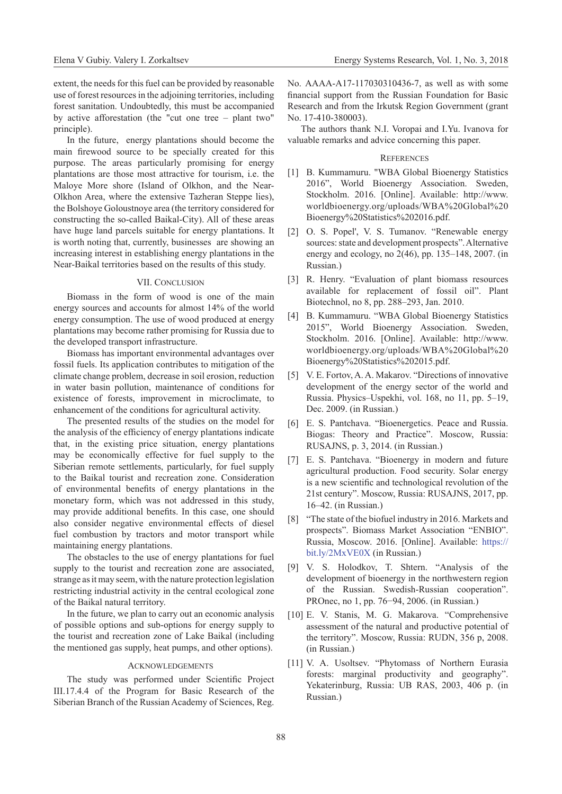extent, the needs for this fuel can be provided by reasonable use of forest resources in the adjoining territories, including forest sanitation. Undoubtedly, this must be accompanied by active afforestation (the "cut one tree – plant two" principle).

In the future, energy plantations should become the main firewood source to be specially created for this purpose. The areas particularly promising for energy plantations are those most attractive for tourism, i.e. the Maloye More shore (Island of Olkhon, and the Near-Olkhon Area, where the extensive Tazheran Steppe lies), the Bolshoye Goloustnoye area (the territory considered for constructing the so-called Baikal-City). All of these areas have huge land parcels suitable for energy plantations. It is worth noting that, currently, businesses are showing an increasing interest in establishing energy plantations in the Near-Baikal territories based on the results of this study.

#### VII. CONCLUSION

Biomass in the form of wood is one of the main energy sources and accounts for almost 14% of the world energy consumption. The use of wood produced at energy plantations may become rather promising for Russia due to the developed transport infrastructure.

Biomass has important environmental advantages over fossil fuels. Its application contributes to mitigation of the climate change problem, decrease in soil erosion, reduction in water basin pollution, maintenance of conditions for existence of forests, improvement in microclimate, to enhancement of the conditions for agricultural activity.

The presented results of the studies on the model for the analysis of the efficiency of energy plantations indicate that, in the existing price situation, energy plantations may be economically effective for fuel supply to the Siberian remote settlements, particularly, for fuel supply to the Baikal tourist and recreation zone. Consideration of environmental benefits of energy plantations in the monetary form, which was not addressed in this study, may provide additional benefits. In this case, one should also consider negative environmental effects of diesel fuel combustion by tractors and motor transport while maintaining energy plantations.

The obstacles to the use of energy plantations for fuel supply to the tourist and recreation zone are associated, strange as it may seem, with the nature protection legislation restricting industrial activity in the central ecological zone of the Baikal natural territory.

In the future, we plan to carry out an economic analysis of possible options and sub-options for energy supply to the tourist and recreation zone of Lake Baikal (including the mentioned gas supply, heat pumps, and other options).

### **ACKNOWLEDGEMENTS**

The study was performed under Scientific Project III.17.4.4 of the Program for Basic Research of the Siberian Branch of the Russian Academy of Sciences, Reg. No. АААА-А17-117030310436-7, as well as with some financial support from the Russian Foundation for Basic Research and from the Irkutsk Region Government (grant No. 17-410-380003).

The authors thank N.I. Voropai and I.Yu. Ivanova for valuable remarks and advice concerning this paper.

#### **REFERENCES**

- [1] B. Kummamuru. "WBA Global Bioenergy Statistics 2016", World Bioenergy Association. Sweden, Stockholm. 2016. [Online]. Available: http://www. worldbioenergy.org/uploads/WBA%20Global%20 Bioenergy%20Statistics%202016.pdf.
- [2] O. S. Popel', V. S. Tumanov. "Renewable energy sources: state and development prospects". Alternative energy and ecology, no 2(46), pp. 135–148, 2007. (in Russian.)
- [3] R. Henry. "Evaluation of plant biomass resources available for replacement of fossil oil". Plant Biotechnol, no 8, pp. 288–293, Jan. 2010.
- [4] B. Kummamuru. "WBA Global Bioenergy Statistics 2015", World Bioenergy Association. Sweden, Stockholm. 2016. [Online]. Available: http://www. worldbioenergy.org/uploads/WBA%20Global%20 Bioenergy%20Statistics%202015.pdf.
- [5] V. E. Fortov, A. A. Makarov. "Directions of innovative development of the energy sector of the world and Russia. Physics–Uspekhi, vol. 168, no 11, pp. 5–19, Dec. 2009. (in Russian.)
- [6] E. S. Pantchava. "Bioenergetics. Peace and Russia. Biogas: Theory and Practice". Moscow, Russia: RUSAJNS, p. 3, 2014. (in Russian.)
- [7] E. S. Pantchava. "Bioenergy in modern and future agricultural production. Food security. Solar energy is a new scientific and technological revolution of the 21st century". Moscow, Russia: RUSAJNS, 2017, pp. 16–42. (in Russian.)
- [8] "The state of the biofuel industry in 2016. Markets and prospects". Biomass Market Association "ENBIO". Russia, Moscow. 2016. [Online]. Available: [https://](https://bit.ly/2MxVE0X) [bit.ly/2MxVE0X](https://bit.ly/2MxVE0X) (in Russian.)
- [9] V. S. Holodkov, T. Shtern. "Analysis of the development of bioenergy in the northwestern region of the Russian. Swedish-Russian cooperation". PROnec, no 1, pp. 76−94, 2006. (in Russian.)
- [10] E. V. Stanis, M. G. Makarova. "Comprehensive assessment of the natural and productive potential of the territory". Moscow, Russia: RUDN, 356 p, 2008. (in Russian.)
- [11] V. A. Usoltsev. "Phytomass of Northern Eurasia forests: marginal productivity and geography". Yekaterinburg, Russia: UB RAS, 2003, 406 p. (in Russian.)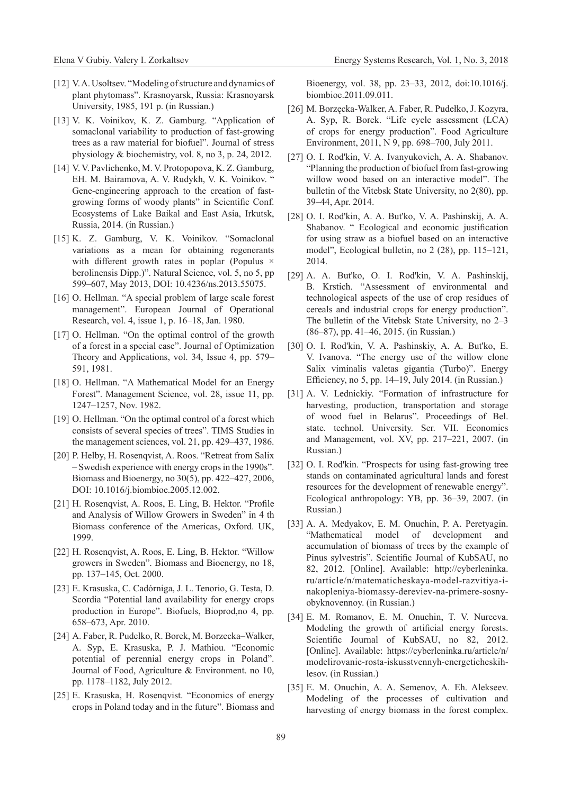- [12] V.A. Usoltsev. "Modeling of structure and dynamics of plant phytomass". Krasnoyarsk, Russia: Krasnoyarsk University, 1985, 191 p. (in Russian.)
- [13] V. K. Voinikov, K. Z. Gamburg. "Application of somaclonal variability to production of fast-growing trees as a raw material for biofuel". Journal of stress physiology & biochemistry, vol. 8, no 3, p. 24, 2012.
- [14] V. V. Pavlichenko, M. V. Protopopova, K. Z. Gamburg, EH. M. Bairamova, A. V. Rudykh, V. K. Voinikov. " Gene-engineering approach to the creation of fastgrowing forms of woody plants" in Scientific Conf. Ecosystems of Lake Baikal and East Asia, Irkutsk, Russia, 2014. (in Russian.)
- [15] K. Z. Gamburg, V. K. Voinikov. "Somaclonal variations as a mean for obtaining regenerants with different growth rates in poplar (Populus  $\times$ berolinensis Dipp.)". Natural Science, vol. 5, no 5, pp 599–607, May 2013, DOI: 10.4236/ns.2013.55075.
- [16] O. Hellman. "A special problem of large scale forest management". European Journal of Operational Research, vol. 4, issue 1, p. 16–18, Jan. 1980.
- [17] O. Hellman. "On the optimal control of the growth of a forest in a special case". Journal of Optimization Theory and Applications, vol. 34, Issue 4, pp. 579– 591, 1981.
- [18] O. Hellman. "A Mathematical Model for an Energy Forest". Management Science, vol. 28, issue 11, pp. 1247–1257, Nov. 1982.
- [19] O. Hellman. "On the optimal control of a forest which consists of several species of trees". TIMS Studies in the management sciences, vol. 21, pp. 429–437, 1986.
- [20] P. Helby, H. Rosenqvist, A. Roos. "Retreat from Salix – Swedish experience with energy crops in the 1990s". Biomass and Bioenergy, no 30(5), pp. 422–427, 2006, DOI: 10.1016/j.biombioe.2005.12.002.
- [21] H. Rosenqvist, A. Roos, E. Ling, B. Hektor. "Profile and Analysis of Willow Growers in Sweden" in 4 th Biomass conference of the Americas, Oxford. UK, 1999.
- [22] H. Rosenqvist, A. Roos, E. Ling, B. Hektor. "Willow growers in Sweden". Biomass and Bioenergy, no 18, pp. 137–145, Oct. 2000.
- [23] E. Krasuska, C. Cadórniga, J. L. Tenorio, G. Testa, D. Scordia "Potential land availability for energy crops production in Europe". Biofuels, Bioprod,no 4, pp. 658–673, Apr. 2010.
- [24] A. Faber, R. Pudelko, R. Borek, M. Borzecka–Walker, A. Syp, E. Krasuska, P. J. Mathiou. "Economic potential of perennial energy crops in Poland". Journal of Food, Agriculture & Environment. no 10, pp. 1178–1182, July 2012.
- [25] E. Krasuska, H. Rosenqvist. "Economics of energy crops in Poland today and in the future". Biomass and

Bioenergy, vol. 38, pp. 23–33, 2012, doi:10.1016/j. biombioe.2011.09.011.

- [26] M. Borzęcka-Walker, A. Faber, R. Pudełko, J. Kozyra, A. Syp, R. Borek. "Life cycle assessment (LCA) of crops for energy production". Food Agriculture Environment, 2011, N 9, pp. 698–700, July 2011.
- [27] O. I. Rod'kin, V. A. Ivanyukovich, A. A. Shabanov. "Planning the production of biofuel from fast-growing willow wood based on an interactive model". The bulletin of the Vitebsk State University, no 2(80), pp. 39–44, Apr. 2014.
- [28] O. I. Rod'kin, A. A. But'ko, V. A. Pashinskij, A. A. Shabanov. " Ecological and economic justification for using straw as a biofuel based on an interactive model", Ecological bulletin, no 2 (28), pp. 115–121, 2014.
- [29] A. A. But'ko, O. I. Rod'kin, V. A. Pashinskij, B. Krstich. "Assessment of environmental and technological aspects of the use of crop residues of cereals and industrial crops for energy production". The bulletin of the Vitebsk State University, no 2–3 (86–87), pp. 41–46, 2015. (in Russian.)
- [30] O. I. Rod'kin, V. A. Pashinskiy, A. A. But'ko, E. V. Ivanova. "The energy use of the willow clone Salix viminalis valetas gigantia (Turbo)". Energy Efficiency, no 5, pp. 14–19, July 2014. (in Russian.)
- [31] A. V. Lednickiy. "Formation of infrastructure for harvesting, production, transportation and storage of wood fuel in Belarus". Proceedings of Bel. state. technol. University. Ser. VII. Economics and Management, vol. XV, pp. 217–221, 2007. (in Russian.)
- [32] O. I. Rod'kin. "Prospects for using fast-growing tree stands on contaminated agricultural lands and forest resources for the development of renewable energy". Ecological anthropology: YB, pp. 36–39, 2007. (in Russian.)
- [33] A. A. Medyakov, E. M. Onuchin, P. A. Peretyagin. "Mathematical model of development and accumulation of biomass of trees by the example of Pinus sylvestris". Scientific Journal of KubSAU, no 82, 2012. [Online]. Available: http://cyberleninka. ru/article/n/matematicheskaya-model-razvitiya-inakopleniya-biomassy-dereviev-na-primere-sosnyobyknovennoy. (in Russian.)
- [34] E. M. Romanov, E. M. Onuchin, T. V. Nureeva. Modeling the growth of artificial energy forests. Scientific Journal of KubSAU, no 82, 2012. [Online]. Available: https://cyberleninka.ru/article/n/ modelirovanie-rosta-iskusstvennyh-energeticheskihlesov. (in Russian.)
- [35] E. M. Onuchin, A. A. Semenov, A. Eh. Alekseev. Modeling of the processes of cultivation and harvesting of energy biomass in the forest complex.